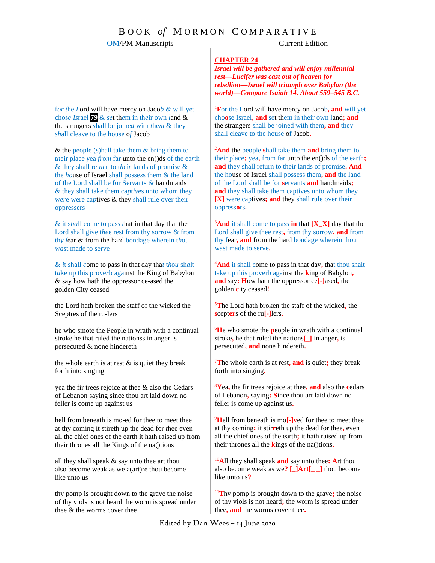### **OM/PM Manuscripts** Current Edition

### **CHAPTER 24**

*Israel will be gathered and will enjoy millennial rest—Lucifer was cast out of heaven for rebellion—Israel will triumph over Babylon (the world)—Compare Isaiah 14. About 559–545 B.C.*

<sup>1</sup>**F**or the Lord will have mercy on Jacob**, and** will yet cho**o**se Israel**, and** set them in their own land**; and** the strangers shall be joined with them**, and** they shall cleave to the house of Jacob**.**

<sup>2</sup>**And** the people **s**hall take them **and** bring them to their place**;** yea**,** from far unto the en()ds of the earth**; and** they shall return to their lands of promise**. And** the house of Israel shall possess them**, and** the land of the Lord shall be for **s**ervants **and** handmaids**; and** they shall take them captives unto whom they **[X]** were captives**; and** they shall rule over their oppress**o**rs**.**

<sup>3</sup>**And** it shall come to pass **in** that **[X\_X]** day that the Lord shall give thee rest**,** from thy sorrow**, and** from thy fear**, and** from the hard bondage wherein thou wast made to serve**.**

<sup>4</sup>**And** it shall come to pass in that day**,** that thou shalt take up this proverb against the **k**ing of Babylon**, and** say**: H**ow hath the oppressor ce**[-]**ased**,** the golden **c**ity ceased**!**

<sup>5</sup>**T**he Lord hath broken the staff of the wicked**,** the **s**cept**er**s of the ru**[-]**lers**.**

<sup>6</sup>**H**e who smote the **p**eople in wrath with a continual stroke**,** he that ruled the nations**[\_]** in anger**,** is persecuted**, and** none hindereth**.**

<sup>7</sup>**T**he whole earth is at rest**, and** is quiet**;** they break forth into singing**.**

<sup>8</sup>**Y**ea**,** the fir trees rejoice at thee**, and** also the **c**edars of Lebanon**,** saying**: S**ince thou art laid down no feller is come up against us**.**

<sup>9</sup>**H**ell from beneath is mo**[-]v**ed for thee to meet thee at thy coming**;** it stir**r**eth up the dead for thee**,** even all the chief ones of the earth**;** it hath raised up from their thrones all the **k**ings of the na()tions**.**

<sup>10</sup>**A**ll they shall speak **and** say unto thee**: A**rt thou also become weak as we**? [\_]Art[\_ \_]** thou become like unto us**?**

<sup>11</sup>**T**hy pomp is brought down to the grave**;** the noise of thy viols is not heard**;** the worm is spread under thee**, and** the worms cover thee**.**

f*or t*he *L*ord will have mercy on Jaco*b &* will yet chos*e Is*rael **79** & *se*t th*e*m in th*e*ir own *l*and & the strangers *s*hall be join*ed* with *t*he*m* & they *sh*all cleave to the house o*f* Jacob

& the people (s)hall take them & bring them to *th*eir place *y*ea *fr*o*m* far unto the en()ds of the ea*r*th & they shall ret*ur*n to t*h*ei*r* lands of promise & the *ho*use of Israel shall posse*s*s them & the land of the Lord *s*hall be for Ser*v*ants *&* handmaids & they shall take them ca*p*t*iv*es unto whom they were were captives & they shall rule over their oppressers

& it s*ha*ll come to pass *t*hat in that day that the Lord shall give t*he*e rest from thy sorrow & from th*y f*ear & from the hard bondage wherein t*h*ou w*a*st made to serve

& *i*t shall *c*ome to pass in that day tha*t* t*h*o*u* sh*a*lt t*a*ke up this prove*r*b against the King of Babylon & say how hath the oppressor ce-ased the golden City ceased

the Lord hath broken the staff of the wick*e*d the Sceptres of the ru-lers

he who smote the People in wrath with a continual stroke he that ruled the nationss in anger is persecuted & none hindereth

the whole earth is at rest  $\&$  is quiet they break forth into singing

yea the fir trees rejoice at thee & also the Cedars of Lebanon saying since thou art laid down no feller is come up against us

hell from beneath is mo-ed for thee to meet thee at thy coming it stireth up the dead for *t*hee even all the chief ones of the earth it hath raised up from their thrones all the Kings of the na()tions

all they shall speak & say unto thee art thou also become weak as we  $a(\text{art})\text{re}$  thou become like unto us

thy pomp is brought down to the grave the noise of thy viols is not heard the worm is spread under thee & the worms cover thee

Edited by Dan Wees – 14 June 2020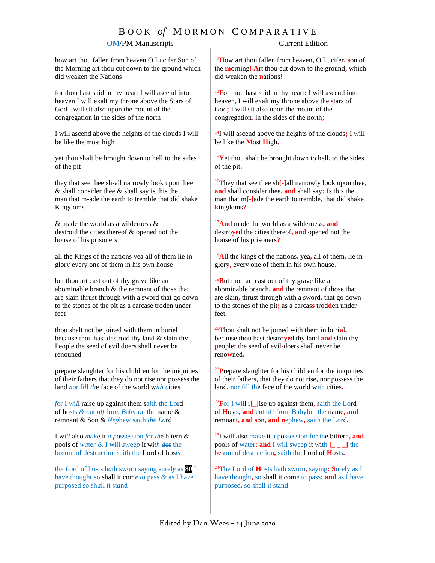# B O O K *of* M O R M O N C O M P A R A T I V E

## **OM/PM Manuscripts** Current Edition

how art thou fallen from heaven O Lucifer Son of the Morning art thou cut down to the ground which did weaken the Nations

for thou hast said in thy heart I will ascend into heaven I will exalt my throne above the Stars of God I will sit also upon the mount of the congregation in the sides of the north

I will ascend above the heights of the clouds I will be like the most high

yet thou shalt be brought down to hell to the sides of the pit

they that see thee sh-all narrowly look upon thee & shall consider thee & shall say is this the man that m-ade the earth to tremble that did shake Kingdoms

& made the world as a wilderness & destroid the cities thereof & opened not the house of his prisoners

all the Kings of the nations yea all of them lie in glory every one of them in his own house

but thou art cast out of thy grave like an abominable branch & the remnant of those that are slain thrust through with a sword that go down to the stones of the pit as a carcase troden under feet

thou shalt not be joined with them in buriel because thou hast destroid thy land & slain thy People the seed of evil doers shall never be renouned

prepare slaughter for his children for the iniquities of their fathers that they do not rise nor possess the land *n*or fi*l*l *th*e face of the world w*ith c*ities

*f*or I wi*l*l raise up against them sa*i*th the Lord of host*s & c*ut o*ff* fro*m B*a*b*yl*o*n the name & remnant & Son & *Nep*hew sa*i*th *the Lo*rd

I wi*ll* also *mak*e it *a p*ossession *f*or *th*e bitern & pools of *wa*te*r* & I will *s*wee*p* it wi*th d*es the bosom of destruction saith the Lord of hos*ts*

th*e L*ord of hosts h*a*th sworn saying surel*y* as **80** I have thought so shall it com*e t*o pass *&* as I ha*v*e purposed so sh*a*ll it st*a*nd

<sup>12</sup>**H**ow art thou fallen from heaven**,** O Lucifer**, s**on of the **m**orning**! A**rt thou cut down to the ground**,** which did weaken the **n**ations**!**

<sup>13</sup>**F**or thou hast said in thy heart**:** I will ascend into heaven**,** I will exalt my throne above the **s**tars of God**;** I will sit also upon the mount of the congregation**,** in the sides of the north**;**

<sup>14</sup>I will ascend above the heights of the clouds**;** I will be like the **M**ost **H**igh**.** 

<sup>15</sup>**Y**et thou shalt be brought down to hell**,** to the sides of the pit**.**

<sup>16</sup>**T**hey that see thee sh**[-]**all narrowly look upon thee**, and** shall consider thee**, and** shall say**: I**s this the man that m**[-]**ade the earth to tremble**,** that did shake **k**ingdoms**?**

<sup>17</sup>**And** made the world as a wilderness**, and** destro**ye**d the cities thereof**, and** opened not the house of his prisoners**?**

<sup>18</sup>**A**ll the **k**ings of the nations**,** yea**,** all of them**,** lie in glory**,** every one of them in his own house**.**

<sup>19</sup>**B**ut thou art cast out of thy grave like an abominable branch**, and** the remnant of those that are slain**,** thrust through with a sword**,** that go down to the stones of the pit**;** as a carcas**s** trod**d**en under feet**.**

<sup>20</sup>**T**hou shalt not be joined with them in buri**a**l**,**  because thou hast destro**ye**d thy land **and** slain thy **p**eople**;** the seed of evil**-**doers shall never be reno**w**ned**.**

<sup>21</sup>**P**repare slaughter for his children for the iniquities of their fathers**,** that they do not rise**,** nor possess the land**,** nor fill the face of the world with cities**.**

<sup>22</sup>**F**or I will r**[\_]**ise up against them**,** saith the Lord of **H**osts**, and** cut off from Babylon the name**, and**  remnant**, and s**on**, and n**ephew**,** saith the Lord**.**

<sup>23</sup>I will also make it a possession for the bit**t**ern**, and** pools of water**; and** I will sweep it with **[\_ \_ \_]** the b**e**som of destruction**,** saith the Lord of **H**osts**.**

<sup>24</sup>**T**he Lord of **H**osts hath sworn**,** saying**: S**urely as I have thought**,** so shall it come to pass**; and** as I have purposed**,** so shall it stand**—**